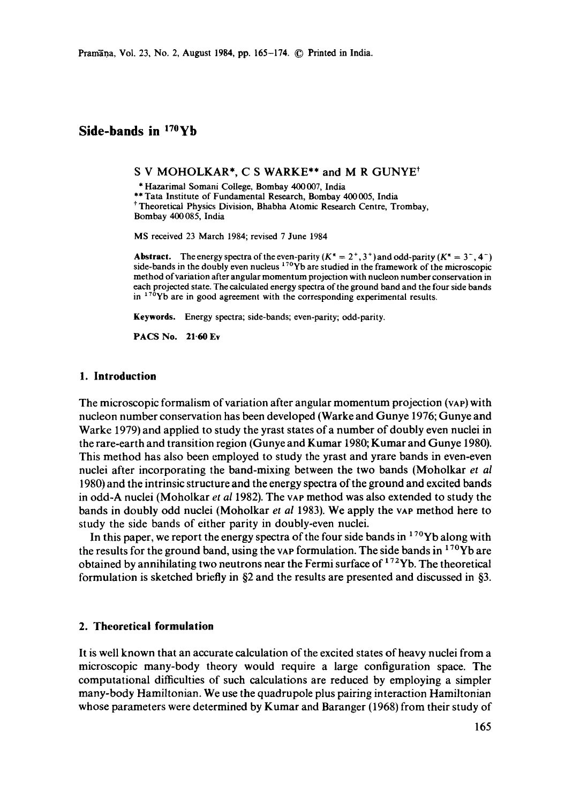Pramana, Vol. 23, No. 2, August 1984, pp. 165-174. © Printed in India.

# **Side-bands in 17°yb**

S V MOHOLKAR\*, C S WARKE\*\* and M R GUNYE<sup>†</sup>

\* Hazarimal Somani College, Bombay 400007, India

\*\* Tata Institute of Fundamental Research, Bombay 400 005, India <sup>†</sup> Theoretical Physics Division, Bhabha Atomic Research Centre, Trombay, Bombay 400085, India

MS received 23 March 1984; revised 7 June 1984

**Abstract.** The energy spectra of the even-parity  $(K^* = 2^+, 3^+)$  and odd-parity  $(K^* = 3^-, 4^-)$ side-bands in the doubly even nucleus  $170y$  are studied in the framework of the microscopic method of variation after angular momentum projection with nucleon number conservation in each projected state. The calculated energy spectra of the ground band and the four side bands in  $170$ Yb are in good agreement with the corresponding experimental results.

**Keywords.** Energy spectra; side-bands; even-parity; odd-parity.

**PACS No. 21.60 Ev** 

#### **1. Introduction**

The microscopic formalism of variation after angular momentum projection (VAP) with nucleon number conservation has been developed (Warke and Gunye 1976; Gunye and Warke 1979)and applied to study the yrast states of a number of doubly even nuclei in the rare-earth and transition region (Gunye and Kumar 1980; Kumar and Gunye 1980). This method has also been employed to study the yrast and yrare bands in even-even nuclei after incorporating the band-mixing between the two bands (Moholkar *et al*  1980) and the intrinsic structure and the energy spectra of the ground and excited bands in odd-A nuclei (Moholkar *et al* 1982). The VAP method was also extended to study the bands in doubly odd nuclei (Moholkar *et al* 1983). We apply the VAP method here to study the side bands of either parity in doubly-even nuclei.

In this paper, we report the energy spectra of the four side bands in  $170$ Yb along with the results for the ground band, using the vap formulation. The side bands in  $170$ Yb are obtained by annihilating two neutrons near the Fermi surface of  $172$ Yb. The theoretical formulation is sketched briefly in §2 and the results are presented and discussed in §3.

### **2. Theoretical formulation**

It is well known that an accurate calculation of the excited states of heavy nuclei from a microscopic many-body theory would require a large configuration space. The computational difficulties of such calculations are reduced by employing a simpler many-body Hamiltonian. We use the quadrupole plus pairing interaction Hamiltonian whose parameters were determined by Kumar and Baranger (1968) from their study of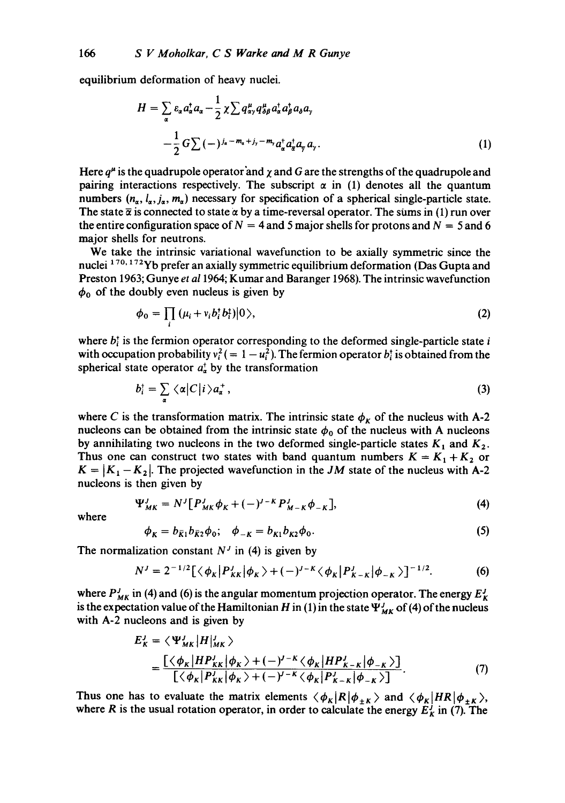equilibrium deformation of heavy nuclei.

$$
H = \sum_{\alpha} \varepsilon_{\alpha} a_{\alpha}^{\dagger} a_{\alpha} - \frac{1}{2} \chi \sum q_{\alpha\gamma}^{\mu} q_{\delta\beta}^{\mu} a_{\alpha}^{\dagger} a_{\beta}^{\dagger} a_{\delta} a_{\gamma}
$$

$$
- \frac{1}{2} G \sum_{\alpha} (-1)^{j_{\alpha} - m_{\alpha} + j_{\gamma} - m_{\gamma}} a_{\alpha}^{\dagger} a_{\alpha}^{\dagger} a_{\gamma} a_{\gamma}.
$$

$$
\tag{1}
$$

Here  $q^{\mu}$  is the quadrupole operator and  $\chi$  and G are the strengths of the quadrupole and pairing interactions respectively. The subscript  $\alpha$  in (1) denotes all the quantum numbers  $(n_{\alpha}, l_{\alpha}, j_{\alpha}, m_{\alpha})$  necessary for specification of a spherical single-particle state. The state  $\bar{\alpha}$  is connected to state  $\alpha$  by a time-reversal operator. The sums in (1) run over the entire configuration space of  $N = 4$  and 5 major shells for protons and  $N = 5$  and 6 major shells for neutrons.

We take the intrinsic variational wavefunction to be axially symmetric since the nuclei <sup>170, 172</sup>Yb prefer an axially symmetric equilibrium deformation (Das Gupta and Preston 1963; Gunye *et a11964;* Kumar and Baranger 1968). The intrinsic wavefunction  $\phi_0$  of the doubly even nucleus is given by

$$
\phi_0 = \prod_i \left( \mu_i + v_i b_i^{\dagger} b_i^{\dagger} \right) \vert 0 \rangle, \tag{2}
$$

where  $b_i^{\dagger}$  is the fermion operator corresponding to the deformed single-particle state i with occupation probability  $v_i^2 (= 1 - u_i^2)$ . The fermion operator  $b_i^{\dagger}$  is obtained from the spherical state operator  $a_n^{\dagger}$  by the transformation

$$
b_i^{\dagger} = \sum_{\alpha} \langle \alpha | C | i \rangle a_{\alpha}^{\dagger}, \qquad (3)
$$

where C is the transformation matrix. The intrinsic state  $\phi_K$  of the nucleus with A-2 nucleons can be obtained from the intrinsic state  $\phi_0$  of the nucleus with A nucleons by annihilating two nucleons in the two deformed single-particle states  $K_1$  and  $K_2$ . Thus one can construct two states with band quantum numbers  $K = K_1 + K_2$  or  $K = |K_1 - K_2|$ . The projected wavefunction in the *JM* state of the nucleus with A-2 nucleons is then given by

$$
\Psi_{MK}^{J} = N^{J} [P_{MK}^{J} \phi_{K} + (-)^{J-K} P_{M-K}^{J} \phi_{-K}], \tag{4}
$$

where

$$
\phi_K = b_{\bar{K}1} b_{\bar{K}2} \phi_0; \quad \phi_{-K} = b_{K1} b_{K2} \phi_0. \tag{5}
$$

The normalization constant  $N<sup>J</sup>$  in (4) is given by

$$
N^{J} = 2^{-1/2} [\langle \phi_K | P^J_{KK} | \phi_K \rangle + (-)^{J-K} \langle \phi_K | P^J_{K-K} | \phi_{-K} \rangle]^{-1/2}.
$$
 (6)

where  $P_{MK}^{J}$  in (4) and (6) is the angular momentum projection operator. The energy  $E_{K}^{J}$ is the expectation value of the Hamiltonian H in (1) in the state  $\Psi_{MK}^{J}$  of (4) of the nucleus with A-2 nucleons and is given by

$$
E'_{K} = \langle \Psi'_{MK} | H |_{MK}^{\prime} \rangle
$$
  
= 
$$
\frac{\left[ \langle \phi_{K} | HP'_{KK} | \phi_{K} \rangle + (-)^{j-K} \langle \phi_{K} | HP'_{K-K} | \phi_{-K} \rangle \right]}{\left[ \langle \phi_{K} | P'_{KK} | \phi_{K} \rangle + (-)^{j-K} \langle \phi_{K} | P'_{K-K} | \phi_{-K} \rangle \right]}.
$$
 (7)

Thus one has to evaluate the matrix elements  $\langle \phi_K | R | \phi_{\pm K} \rangle$  and  $\langle \phi_K | HR | \phi_{\pm K} \rangle$ , where R is the usual rotation operator, in order to calculate the energy  $E<sub>K</sub><sup>j</sup>$  in (7). The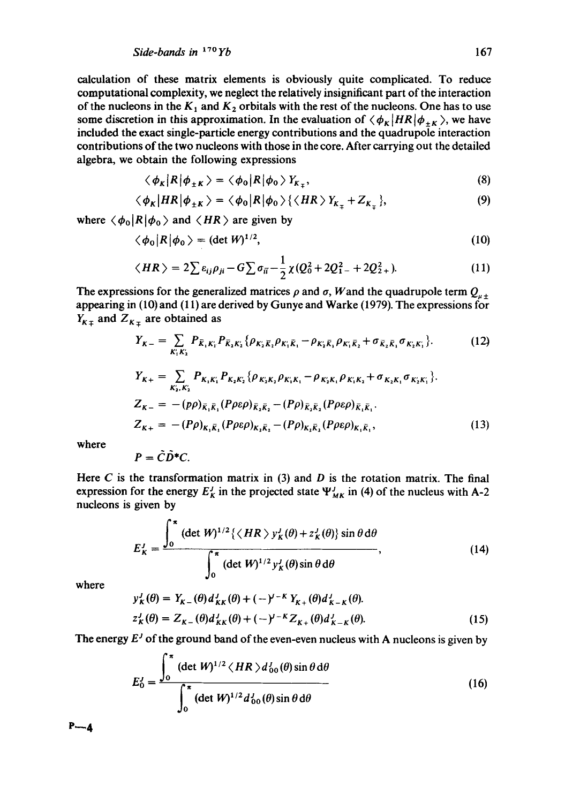calculation of these matrix elements is obviously quite complicated. To reduce computational complexity, we neglect the relatively insignificant part of the interaction of the nucleons in the  $K_1$  and  $K_2$  orbitals with the rest of the nucleons. One has to use some discretion in this approximation. In the evaluation of  $\langle \phi_K | HR | \phi_{+K} \rangle$ , we have included the exact single-particle energy contributions and the quadrupole interaction contributions of the two nucleons with those in the core. After carrying out the detailed algebra, we obtain the following expressions

$$
\langle \phi_K | R | \phi_{\pm K} \rangle = \langle \phi_0 | R | \phi_0 \rangle Y_{K_{\pm}}, \tag{8}
$$

$$
\langle \phi_K | HR | \phi_{\pm K} \rangle = \langle \phi_0 | R | \phi_0 \rangle \{ \langle HR \rangle Y_{K_{\mp}} + Z_{K_{\mp}} \},\tag{9}
$$

where  $\langle \phi_0 | R | \phi_0 \rangle$  and  $\langle HR \rangle$  are given by

$$
\langle \phi_0 | R | \phi_0 \rangle = (\det W)^{1/2}, \tag{10}
$$

$$
\langle HR \rangle = 2 \sum \varepsilon_{ij} \rho_{ji} - G \sum \sigma_{ii} - \frac{1}{2} \chi (Q_0^2 + 2Q_{1-}^2 + 2Q_{2+}^2). \tag{11}
$$

The expressions for the generalized matrices  $\rho$  and  $\sigma$ , Wand the quadrupole term  $Q_{\mu \pm}$ appearing in (10) and (11) are derived by Gunyc and Warke (1979). The expressions for  $Y_{K_{\pm}}$  and  $Z_{K_{\pm}}$  are obtained as

$$
Y_{K-} = \sum_{K_1' K_2'} P_{\bar{K}_1 K_1'} P_{\bar{K}_2 K_2} \{ \rho_{K_2 \bar{K}_1} \rho_{K_1 \bar{K}_1} - \rho_{K_2 \bar{K}_1} \rho_{K_1' \bar{K}_2} + \sigma_{\bar{K}_2 \bar{K}_1} \sigma_{K_2 K_1} \}.
$$
(12)  
\n
$$
Y_{K+} = \sum_{K_1, K_2'} P_{K_1 K_1'} P_{K_2 K_2} \{ \rho_{K_2 K_2} \rho_{K_1 K_1} - \rho_{K_2 K_1} \rho_{K_1 K_2} + \sigma_{K_2 K_1} \sigma_{K_2 K_1} \}.
$$
  
\n
$$
Z_{K-} = - (p\rho)_{\bar{K}_1 \bar{K}_1} (p\rho \varepsilon \rho)_{\bar{K}_2 \bar{K}_2} - (p\rho)_{\bar{K}_2 \bar{K}_2} (p\rho \varepsilon \rho)_{\bar{K}_1 \bar{K}_1}.
$$
  
\n
$$
Z_{K+} = - (p\rho)_{K_1 \bar{K}_1} (p\rho \varepsilon \rho)_{K_2 \bar{K}_2} - (p\rho)_{K_2 \bar{K}_2} (p\rho \varepsilon \rho)_{K_1 \bar{K}_1},
$$
(13)

where

$$
P=\tilde{C}\tilde{D}^*C.
$$

Here C is the transformation matrix in  $(3)$  and D is the rotation matrix. The final expression for the energy  $E_K^J$  in the projected state  $\Psi_{MK}^J$  in (4) of the nucleus with A-2 nucleons is given by

$$
E_K^J = \frac{\int_0^\pi \left(\det W\right)^{1/2} \left\{ \left\langle HR \right\rangle y_K^J(\theta) + z_K^J(\theta) \right\} \sin \theta \, d\theta}{\int_0^\pi \left(\det W\right)^{1/2} y_K^J(\theta) \sin \theta \, d\theta},\tag{14}
$$

where

$$
y_K^I(\theta) = Y_{K-}(\theta) d_{KK}^I(\theta) + (-\gamma)^{K} Y_{K+}(\theta) d_{K-K}^I(\theta).
$$
  
\n
$$
z_K^I(\theta) = Z_{K-}(\theta) d_{KK}^I(\theta) + (-\gamma)^{K-} Z_{K+}(\theta) d_{K-K}^I(\theta).
$$
 (15)

The energy  $E^j$  of the ground band of the even-even nucleus with A nucleons is given by

$$
E_0^j = \frac{\int_0^\pi (\det W)^{1/2} \langle HR \rangle d_{00}^j(\theta) \sin \theta \, d\theta}{\int_0^\pi (\det W)^{1/2} d_{00}^j(\theta) \sin \theta \, d\theta}
$$
(16)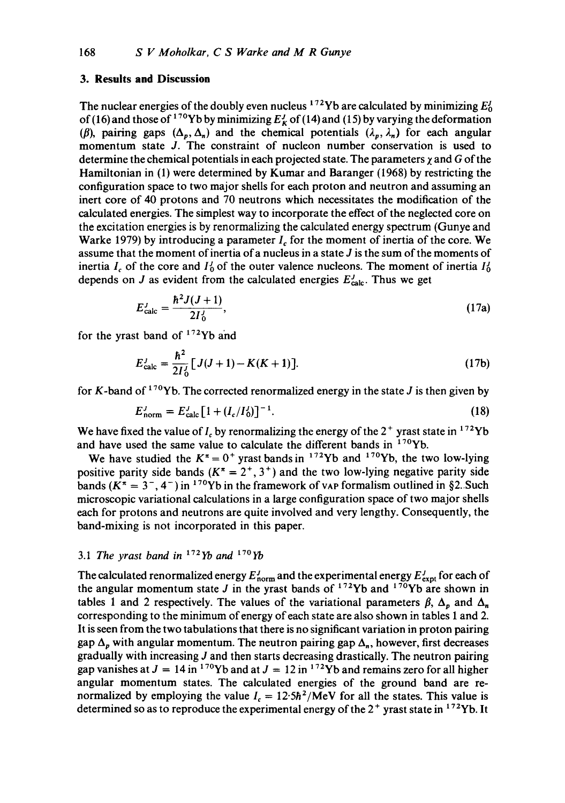### **3. Results and Discussion**

The nuclear energies of the doubly even nucleus  $^{172}$ Yb are calculated by minimizing  $E_0^J$ of (16) and those of <sup>170</sup>Yb by minimizing  $E_K^j$  of (14) and (15) by varying the deformation ( $\beta$ ), pairing gaps  $(\Delta_p, \Delta_n)$  and the chemical potentials  $(\lambda_p, \lambda_n)$  for each angular momentum state J. The constraint of nucleon number conservation is used to determine the chemical potentials in each projected state. The parameters  $\chi$  and G of the Hamiltonian in (1) were determined by Kumar and Baranger (1968) by restricting the configuration space to two major shells for each proton and neutron and assuming an inert core of 40 protons and 70 neutrons which necessitates the modification of the calculated energies. The simplest way to incorporate the effect of the neglected core on the excitation energies is by renormalizing the calculated energy spectrum (Gunye and Warke 1979) by introducing a parameter  $I<sub>c</sub>$  for the moment of inertia of the core. We assume that the moment of inertia of a nucleus in a state  $J$  is the sum of the moments of inertia  $I_c$  of the core and  $I_0$  of the outer valence nucleons. The moment of inertia  $I_0^I$ depends on J as evident from the calculated energies  $E_{\text{calc}}^J$ . Thus we get

$$
E_{\rm calc}^J = \frac{\hbar^2 J(J+1)}{2I_0^J},\tag{17a}
$$

for the yrast band of  $172$ Yb and

$$
E_{\text{calc}}^{J} = \frac{\hbar^2}{2I_0^J} [J(J+1) - K(K+1)].
$$
 (17b)

for K-band of  $170$ Yb. The corrected renormalized energy in the state J is then given by

$$
E_{\text{norm}}^J = E_{\text{calc}}^J \left[ 1 + (I_c/I_0^J) \right]^{-1}.
$$
 (18)

We have fixed the value of  $I_c$  by renormalizing the energy of the 2<sup>+</sup> yrast state in <sup>172</sup>Yb and have used the same value to calculate the different bands in  $170Yb$ .

We have studied the  $K^{\pi} = 0^{+}$  yrast bands in <sup>172</sup>Yb and <sup>170</sup>Yb, the two low-lying positive parity side bands  $(K^{\pi} = 2^{+}, 3^{+})$  and the two low-lying negative parity side bands ( $K^{\pi} = 3^{-}$ , 4<sup>-</sup>) in <sup>170</sup>Yb in the framework of vap formalism outlined in §2. Such microscopic variational calculations in a large configuration space of two major shells each for protons and neutrons are quite involved and very lengthy. Consequently, the band-mixing is not incorporated in this paper.

### 3.1 *The yrast band in* 172yb and 17°yb

The calculated renormalized energy  $E_{\text{norm}}^j$  and the experimental energy  $E_{\text{expt}}^j$  for each of the angular momentum state J in the yrast bands of  $1^{1/2}$ Yb and  $1^{1/0}$ Yb are shown in tables 1 and 2 respectively. The values of the variational parameters  $\beta$ ,  $\Delta_p$  and  $\Delta_n$ corresponding to the minimum of energy of each state are also shown in tables 1 and 2. It is seen from the two tabulations that there is no significant variation in proton pairing gap  $\Delta_p$  with angular momentum. The neutron pairing gap  $\Delta_p$ , however, first decreases gradually with increasing J and then starts decreasing drastically. The neutron pairing gap vanishes at  $J = 14$  in <sup>170</sup>Yb and at  $J = 12$  in <sup>172</sup>Yb and remains zero for all higher angular momentum states. The calculated energies of the ground band are renormalized by employing the value  $I_c = 12.5\hbar^2/\text{MeV}$  for all the states. This value is determined so as to reproduce the experimental energy of the  $2^+$  yrast state in  $17^2$ Yb. It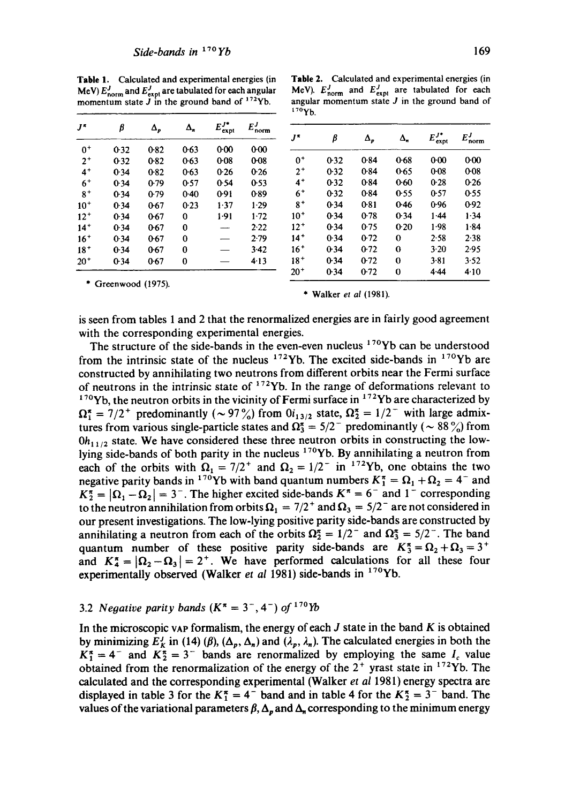**Table** 1. Calculated and experimental energies (in MeV)  $E_{\text{norm}}^{J}$  and  $E_{\text{expt}}^{J}$  are tabulated for each angular momentum state  $J$  in the ground band of  $172$ Yb.

|          |                     |              |          |                         |                     | 170Yb.    |      |            |                   |                        |                     |
|----------|---------------------|--------------|----------|-------------------------|---------------------|-----------|------|------------|-------------------|------------------------|---------------------|
| J*       | β                   | $\Delta_{p}$ | Δ,       | $E_{\text{expt}}^{J^*}$ | $E_{\text{norm}}^J$ | $J^{\pi}$ |      |            |                   |                        |                     |
| $0+$     | $0-32$              | 0.82         | 0.63     | $0 - 00$                | $0-00$              |           | β    | $\Delta_p$ | $\Delta_{\kappa}$ | $E_{\text{expt}}^{J*}$ | $E_{\text{norm}}^J$ |
| $2^+$    | $0-32$              | 0.82         | $0-63$   | $0 - 08$                | $0 - 08$            | $0+$      | 0.32 | 0.84       | 0.68              | 0.00                   | $0-00$              |
| $4^+$    | 0.34                | 0.82         | 0.63     | 0.26                    | 0.26                | $2^+$     | 0.32 | 0.84       | 0.65              | $0 - 08$               | $0 - 08$            |
| $6+$     | 0.34                | 0.79         | 0.57     | 0.54                    | 0-53                | $4+$      | 0.32 | 0.84       | 0.60              | 0.28                   | 0.26                |
| $8+$     | $0-34$              | 0.79         | $0-40$   | 0.91                    | 0.89                | $6+$      | 0.32 | 0.84       | 0.55              | 0.57                   | 0.55                |
| $10+$    | 0.34                | $0 - 67$     | 0.23     | 1.37                    | 1.29                | $8^+$     | 0.34 | 0.81       | 0.46              | 0.96                   | 0.92                |
| $12^{+}$ | 0.34                | $0-67$       | $\bf{0}$ | 1.91                    | 1.72                | $10^{+}$  | 0.34 | 0.78       | 0.34              | 1.44                   | 1.34                |
| $14^+$   | 0.34                | 0.67         | 0        |                         | 2.22                | $12^{+}$  | 0.34 | 0.75       | 0.20              | 1.98                   | $1 - 84$            |
| $16+$    | 0.34                | $0-67$       | $\bf{0}$ |                         | 2.79                | $14+$     | 0.34 | 0.72       | $\Omega$          | 2.58                   | 2.38                |
| $18+$    | 0.34                | $0 - 67$     | $\bf{0}$ | --                      | 3.42                | $16+$     | 0.34 | $0-72$     | $\bf{0}$          | $3 - 20$               | 2.95                |
| 20*      | 0.34                | 0.67         | $\bf{0}$ |                         | 4.13                | $18+$     | 0.34 | $0-72$     | $\theta$          | $3 - 81$               | 3.52                |
|          |                     |              |          |                         |                     | $20^{+}$  | 0.34 | 0.72       | $\bf{0}$          | $4-44$                 | 4.10                |
|          | * Greenwood (1975). |              |          |                         |                     |           |      |            |                   |                        |                     |

\* Walker *et al* (1981).

**Table** 2. Calculated and experimental energies (in MeV).  $E_{\text{norm}}^J$  and  $E_{\text{expl}}^J$  are tabulated for each angular momentum state  $J$  in the ground band of

is seen from tables 1 and 2 that the renormalized energies are in fairly good agreement with the corresponding experimental energies.

The structure of the side-bands in the even-even nucleus  $170Yb$  can be understood from the intrinsic state of the nucleus  $172\gamma$ b. The excited side-bands in  $170\gamma$ b are constructed by annihilating two neutrons from different orbits near the Fermi surface of neutrons in the intrinsic state of  $172$ Yb. In the range of deformations relevant to  $170Yb$ , the neutron orbits in the vicinity of Fermi surface in  $172Yb$  are characterized by  $\Omega_1^* = 7/2^+$  predominantly ( $\sim 97\%$ ) from  $0i_{13/2}$  state,  $\Omega_2^* = 1/2^-$  with large admixtures from various single-particle states and  $\Omega_3^* = 5/2^-$  predominantly ( $\sim 88\%$ ) from  $0h_{11/2}$  state. We have considered these three neutron orbits in constructing the lowlying side-bands of both parity in the nucleus  $170$ Yb. By annihilating a neutron from each of the orbits with  $\Omega_1 = 7/2^+$  and  $\Omega_2 = 1/2^-$  in <sup>172</sup>Yb, one obtains the two negative parity bands in <sup>170</sup>Yb with band quantum numbers  $K_1^{\pi} = \Omega_1 + \Omega_2 = 4^{-}$  and  $K_2^{\pi} = |\Omega_1 - \Omega_2| = 3$ . The higher excited side-bands  $K^{\pi} = 6$  and 1<sup>-</sup> corresponding to the neutron annihilation from orbits  $\Omega_1 = 7/2^+$  and  $\Omega_3 = 5/2^-$  are not considered in our present investigations. The low-lying positive parity side-bands are constructed by annihilating a neutron from each of the orbits  $\Omega_2^{\pi} = 1/2^-$  and  $\Omega_3^{\pi} = 5/2^-$ . The band quantum number of these positive parity side-bands are  $K_3^{\pi} = \Omega_2 + \Omega_3 = 3^+$ and  $K_4^* = |\Omega_2 - \Omega_3| = 2^+$ . We have performed calculations for all these four experimentally observed (Walker *et al* 1981) side-bands in <sup>170</sup>Yb.

### 3.2 *Negative parity bands*  $(K^{\pi} = 3^{-}, 4^{-})$  *of* <sup>170</sup>*Yb*

In the microscopic vap formalism, the energy of each  $J$  state in the band  $K$  is obtained by minimizing  $E_{K}^{J}$  in (14) ( $\beta$ ), ( $\Delta_{p}$ ,  $\Delta_{n}$ ) and ( $\lambda_{p}$ ,  $\lambda_{n}$ ). The calculated energies in both the  $K_1^{\pi} = 4^-$  and  $K_2^{\pi} = 3^-$  bands are renormalized by employing the same  $I_c$  value obtained from the renormalization of the energy of the  $2^+$  yrast state in  $172\text{Yb}$ . The calculated and the corresponding experimental (Walker *et al* 1981) energy spectra are displayed in table 3 for the  $K_1^{\pi} = 4^-$  band and in table 4 for the  $K_2^{\pi} = 3^-$  band. The values of the variational parameters  $\beta$ ,  $\Delta_p$  and  $\Delta_n$  corresponding to the minimum energy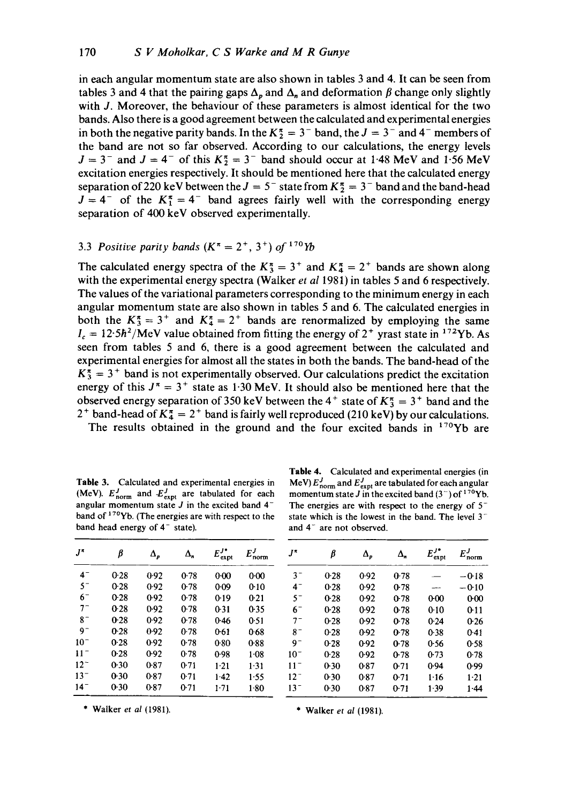in each angular momentum state are also shown in tables 3 and 4. It can be seen from tables 3 and 4 that the pairing gaps  $\Delta_p$  and  $\Delta_n$  and deformation  $\beta$  change only slightly with J. Moreover, the behaviour of these parameters is almost identical for the two bands. Also there is a good agreement between the calculated and experimental energies in both the negative parity bands. In the  $K_2^{\pi} = 3^{-}$  band, the  $J = 3^{-}$  and 4<sup>-</sup> members of the band are not so far observed. According to our calculations, the energy levels  $J = 3^-$  and  $J = 4^-$  of this  $K_2^{\pi} = 3^-$  band should occur at 1.48 MeV and 1.56 MeV excitation energies respectively. It should be mentioned here that the calculated energy separation of 220 keV between the  $J = 5^-$  state from  $K_2^{\pi} = 3^-$  band and the band-head  $J = 4^-$  of the  $K_1^{\pi} = 4^-$  band agrees fairly well with the corresponding energy separation of 400 keV observed experimentally.

#### 3.3 *Positive parity bands*  $(K^{\pi} = 2^{+}, 3^{+})$  *of* <sup>170</sup>*Yb*

The calculated energy spectra of the  $K_3^* = 3^+$  and  $K_4^* = 2^+$  bands are shown along with the experimental energy spectra (Walker *et al* 1981) in tables 5 and 6 respectively. The values of the variational parameters corresponding to the minimum energy in each angular momentum state are also shown in tables 5 and 6. The calculated energies in both the  $K_3^{\pi} = 3^+$  and  $K_4^{\pi} = 2^+$  bands are renormalized by employing the same  $I_c = 12.5\hbar^2/\text{MeV}$  value obtained from fitting the energy of 2<sup>+</sup> yrast state in <sup>172</sup>Yb. As seen from tables 5 and 6, there is a good agreement between the calculated and experimental energies for almost all the states in both the bands. The band-head of the  $K_3^* = 3^+$  band is not experimentally observed. Our calculations predict the excitation energy of this  $J^{\pi} = 3^{+}$  state as 1.30 MeV. It should also be mentioned here that the observed energy separation of 350 keV between the 4<sup>+</sup> state of  $K_3^{\pi} = 3^+$  band and the <sup>2+</sup> band-head of  $K_4^{\pi} = 2^+$  band is fairly well reproduced (210 keV) by our calculations. The results obtained in the ground and the four excited bands in  $170Yb$  are

**Table** 3. Calculated and experimental energies in (MeV).  $E_{\text{norm}}^J$  and  $E_{\text{expt}}^J$  are tabulated for each angular momentum state  $J$  in the excited band  $4^$ band of <sup>170</sup>Yb. (The energies are with respect to the band head energy of  $4^-$  state).

| J*       | β    | Δ,   | $\Delta_n$ | $E_{\text{expt}}^{J*}$ | $E^{J}_{\rm norm}$ |  |  |
|----------|------|------|------------|------------------------|--------------------|--|--|
| $4^-$    | 0.28 | 0.92 | 0.78       | $0 - 00$               | 0.00               |  |  |
| $5^-$    | 0.28 | 0.92 | 0.78       | 0.09                   | 0.10               |  |  |
| $6-$     | 0.28 | 0.92 | 0.78       | 0.19                   | 0.21               |  |  |
| $7^-$    | 0.28 | 0.92 | 0.78       | $0 - 31$               | 0.35               |  |  |
| $8^-$    | 0.28 | 0.92 | 0.78       | 0.46                   | 0.51               |  |  |
| 97       | 0.28 | 0.92 | 0.78       | 0.61                   | 0.68               |  |  |
| $10^{-}$ | 0.28 | 0.92 | 0.78       | 0.80                   | 0.88               |  |  |
| $11 -$   | 0.28 | 0.92 | 0.78       | 0.98                   | $1-08$             |  |  |
| $12^{-}$ | 0.30 | 0.87 | $0-71$     | $1-21$                 | 1.31               |  |  |
| $13^{-}$ | 0.30 | 0.87 | 0.71       | $1-42$                 | 1.55               |  |  |
| 14-      | 0.30 | 0.87 | 0.71       | $1 - 71$               | 1.80               |  |  |
|          |      |      |            |                        |                    |  |  |

**Table** 4. Calculated and experimental energies (in MeV)  $E_{\text{norm}}^J$  and  $E_{\text{expt}}^J$  are tabulated for each angular momentum state J in the excited band  $(3^-)$  of  $170$ Yb. The energies are with respect to the energy of  $5$ state which is the lowest in the band. The level  $3$ and 4<sup>-</sup> are not observed.

| $J^{\pi}$ | ß      | Δ,   | $\Delta_n$ | $E_{\text{expt}}^{J*}$ | $E^{J}_{\rm norm}$ |
|-----------|--------|------|------------|------------------------|--------------------|
| $3^-$     | $0-28$ | 0.92 | 0.78       |                        | $-0.18$            |
| $4 -$     | 0.28   | 0.92 | 0.78       |                        | $-0.10$            |
| $5^-$     | 0.28   | 0.92 | 0.78       | $0 - 00$               | 0.00               |
| $6-$      | $0-28$ | 0.92 | 0.78       | 0.10                   | 0:11               |
| $7^-$     | $0-28$ | 0.92 | 0.78       | 0.24                   | 0.26               |
| 8-        | 0.28   | 0.92 | 0.78       | 0.38                   | 0.41               |
| g-        | 0.28   | 0.92 | 0.78       | 0.56                   | 0.58               |
| $10-$     | 0.28   | 0.92 | 0.78       | 0.73                   | 0.78               |
| $11^{-}$  | $0-30$ | 0.87 | 0.71       | 0.94                   | 0.99               |
| $12^{-}$  | $0-30$ | 0.87 | 0.71       | 1.16                   | $1-21$             |
| $13-$     | 0.30   | 0.87 | 0.71       | 1.39                   | $1 - 44$           |

\* Walker et *al* (1981). \* Walker et *al* (1981).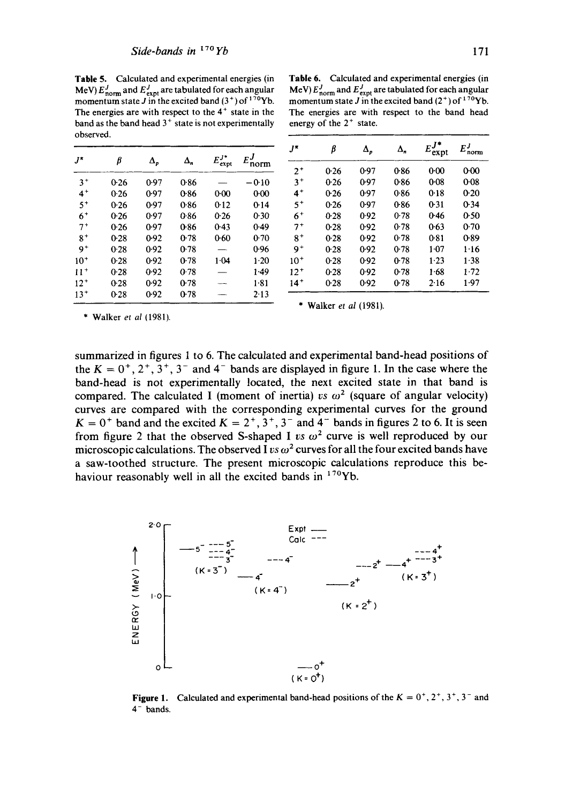**Table** 5. Calculated and experimental energies (in MeV)  $E_{\text{norm}}^J$  and  $E_{\text{expt}}^J$  are tabulated for each angular momentum state J in the excited band  $(3^+)$  of  $17^0$ Yb. The energies are with respect to the  $4<sup>+</sup>$  state in the band as the band head  $3<sup>+</sup>$  state is not experimentally observed.

| $J^{\pi}$ | β      |            | Δ,   | $E_{\text{expt}}^{J*}$ | $E^J$   | $J^{\pi}$ | þ      | $\Delta_p$ | $\Delta_n$ | $E_{\text{expt}}$ | $E_{\text{norm}}$ |
|-----------|--------|------------|------|------------------------|---------|-----------|--------|------------|------------|-------------------|-------------------|
|           |        | $\Delta_p$ |      |                        | norm    | $2^+$     | 0.26   | 0.97       | 0.86       | $0 - 00$          | 0.00              |
| $3^+$     | 0.26   | 0.97       | 0.86 |                        | $-0.10$ | $3^+$     | 0.26   | 0.97       | 0.86       | 0.08              | $0-08$            |
| $4+$      | 0.26   | 0.97       | 0.86 | $0 - 00$               | 0.00    | $4^+$     | 0.26   | 0.97       | 0.86       | 0.18              | 0.20              |
| $5+$      | 0.26   | 0.97       | 0.86 | 0.12                   | 0.14    | $5^+$     | 0.26   | 0.97       | 0.86       | 0.31              | 0.34              |
| $6+$      | 0.26   | 0.97       | 0.86 | 0.26                   | 0.30    | $6+$      | $0-28$ | 0.92       | 0.78       | 0.46              | 0.50              |
| $7^+$     | 0.26   | 0.97       | 0.86 | 0.43                   | 0.49    | $7^+$     | 0.28   | 0.92       | 0.78       | 0.63              | 0.70              |
| $8+$      | $0-28$ | 0.92       | 0.78 | 0.60                   | 0.70    | $8^+$     | 0.28   | 0.92       | 0.78       | 0.81              | 0.89              |
| $9+$      | 0.28   | 0.92       | 0.78 |                        | 0.96    | $9+$      | 0.28   | 0.92       | 0.78       | $1-07$            | 1.16              |
| $10+$     | 0.28   | 0.92       | 0.78 | 1.04                   | $1-20$  | $10^{+}$  | 0.28   | 0.92       | 0.78       | 1.23              | 1.38              |
| $11+$     | 0.28   | 0.92       | 0.78 |                        | 1.49    | $12^{+}$  | $0-28$ | 0.92       | 0.78       | 1.68              | 1.72              |
| $12^{+}$  | 0.28   | 0.92       | 0.78 | <b>CONTRACTOR</b>      | 1.81    | $14^{+}$  | 0.28   | 0.92       | 0.78       | 2.16              | 1.97              |
| $13+$     | 0.28   | 0.92       | 0.78 |                        | 2.13    |           |        |            |            |                   |                   |

| Table 6. Calculated and experimental energies (in                               |  |  |  |  |  |  |  |  |
|---------------------------------------------------------------------------------|--|--|--|--|--|--|--|--|
| MeV) $E_{\text{norm}}^J$ and $E_{\text{expt}}^J$ are tabulated for each angular |  |  |  |  |  |  |  |  |
| momentum state J in the excited band $(2^+)$ of $170$ Yb.                       |  |  |  |  |  |  |  |  |
| The energies are with respect to the band head                                  |  |  |  |  |  |  |  |  |
| energy of the $2+$ state.                                                       |  |  |  |  |  |  |  |  |

| J*       | β      | $\Delta_p$ | $\Delta_n$ | $E_{\text{expt}}^{J*}$ | $E_{\rm norm}^J$ |
|----------|--------|------------|------------|------------------------|------------------|
| $2^+$    | 0.26   | 0.97       | 0.86       | $0 - 00$               | 0.00             |
| $3+$     | 0.26   | 0.97       | 0.86       | 0.08                   | 0.08             |
| $4^+$    | 0.26   | 0.97       | 0.86       | 0.18                   | 0.20             |
| 5+       | 0.26   | 0.97       | 0.86       | 0.31                   | 0.34             |
| $6+$     | $0-28$ | 0.92       | 0.78       | 0.46                   | 0.50             |
| 7+       | 0.28   | 0.92       | 0.78       | 0.63                   | 0.70             |
| $8+$     | 0.28   | 0.92       | 0.78       | 0.81                   | 0.89             |
| $9+$     | 0.28   | 0.92       | 0.78       | $1-07$                 | 1.16             |
| $10^{+}$ | 0.28   | 0.92       | 0.78       | 1.23                   | 1.38             |
| $12^{+}$ | $0-28$ | 0.92       | 0.78       | 1.68                   | 1.72             |
| 14*      | 0.28   | 0.92       | 0-78       | 2.16                   | 1.97             |

\* Walker *et al* (1981).

\* Walker *et al* (1981).

summarized in figures 1 to 6. The calculated and experimental band-head positions of the  $K = 0^+, 2^+, 3^-, 3^-$  and 4<sup>-</sup> bands are displayed in figure 1. In the case where the band-head is not experimentally located, the next excited state in that band is compared. The calculated I (moment of inertia) *vs*  $\omega^2$  (square of angular velocity) curves are compared with the corresponding experimental curves for the ground  $K = 0^+$  band and the excited  $K = 2^+, 3^+, 3^-$  and  $4^-$  bands in figures 2 to 6. It is seen from figure 2 that the observed S-shaped I *vs*  $\omega^2$  curve is well reproduced by our microscopic calculations. The observed I  $v s \omega^2$  curves for all the four excited bands have **a** saw-toothed structure. The present microscopic calculations reproduce this behaviour reasonably well in all the excited bands in  $170Yb$ .



**Figure 1.** Calculated and experimental band-head positions of the  $K = 0^+, 2^+, 3^-, 3^-$  and  $4^-$  bands.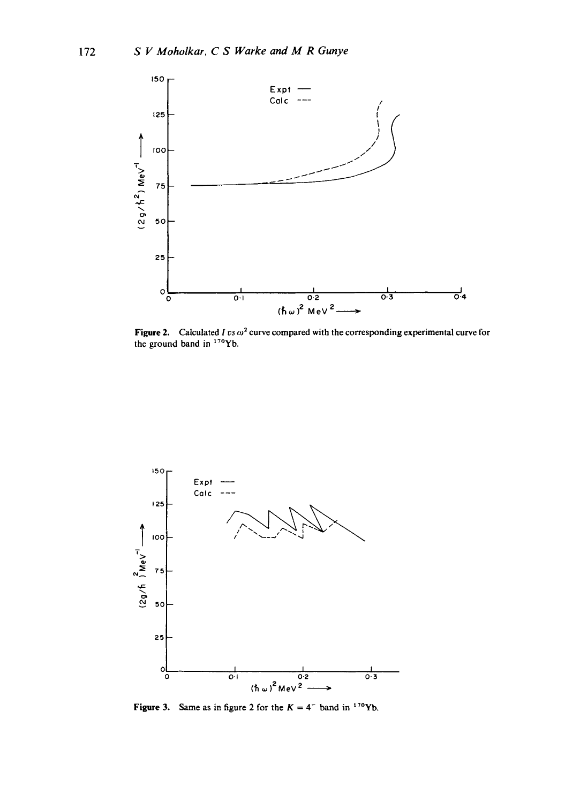

Figure 2. Calculated *I vs*  $\omega^2$  curve compared with the corresponding experimental curve for the ground band in  $170Yb$ .



Figure 3. Same as in figure 2 for the  $K = 4^-$  band in <sup>170</sup>Yb.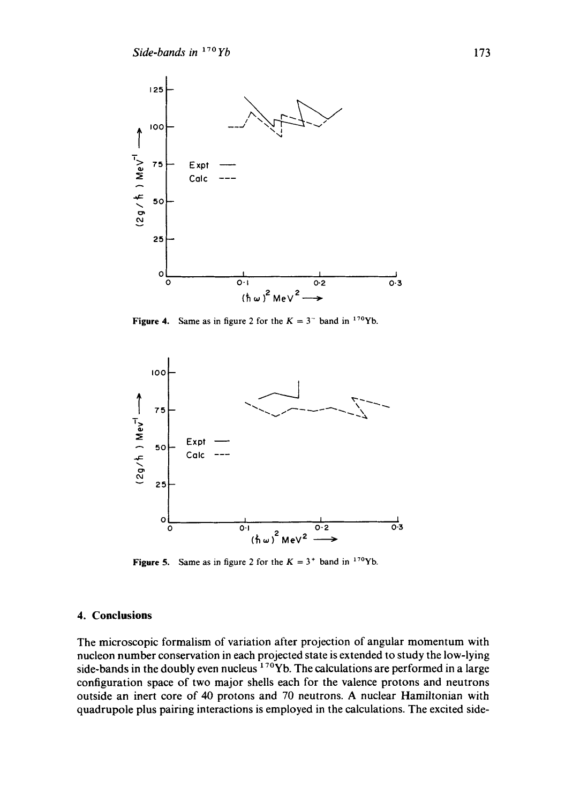

**Figure 4.** Same as in figure 2 for the  $K = 3$ <sup>-</sup> band in <sup>170</sup>Yb.



**Figure 5.** Same as in figure 2 for the  $K = 3^+$  band in <sup>170</sup>Yb.

## **4. Conclusions**

**The microscopic formalism of variation after projection of angular momentum with nucleon number conservation in each projected state is extended to study the low-lying**  side-bands in the doubly even nucleus <sup>170</sup>Yb. The calculations are performed in a large **configuration space of two major shells each for the valence protons and neutrons outside an inert core of 40 protons and 70 neutrons. A nuclear Hamiltonian with quadrupole plus pairing interactions is employed in the calculations. The excited side-**